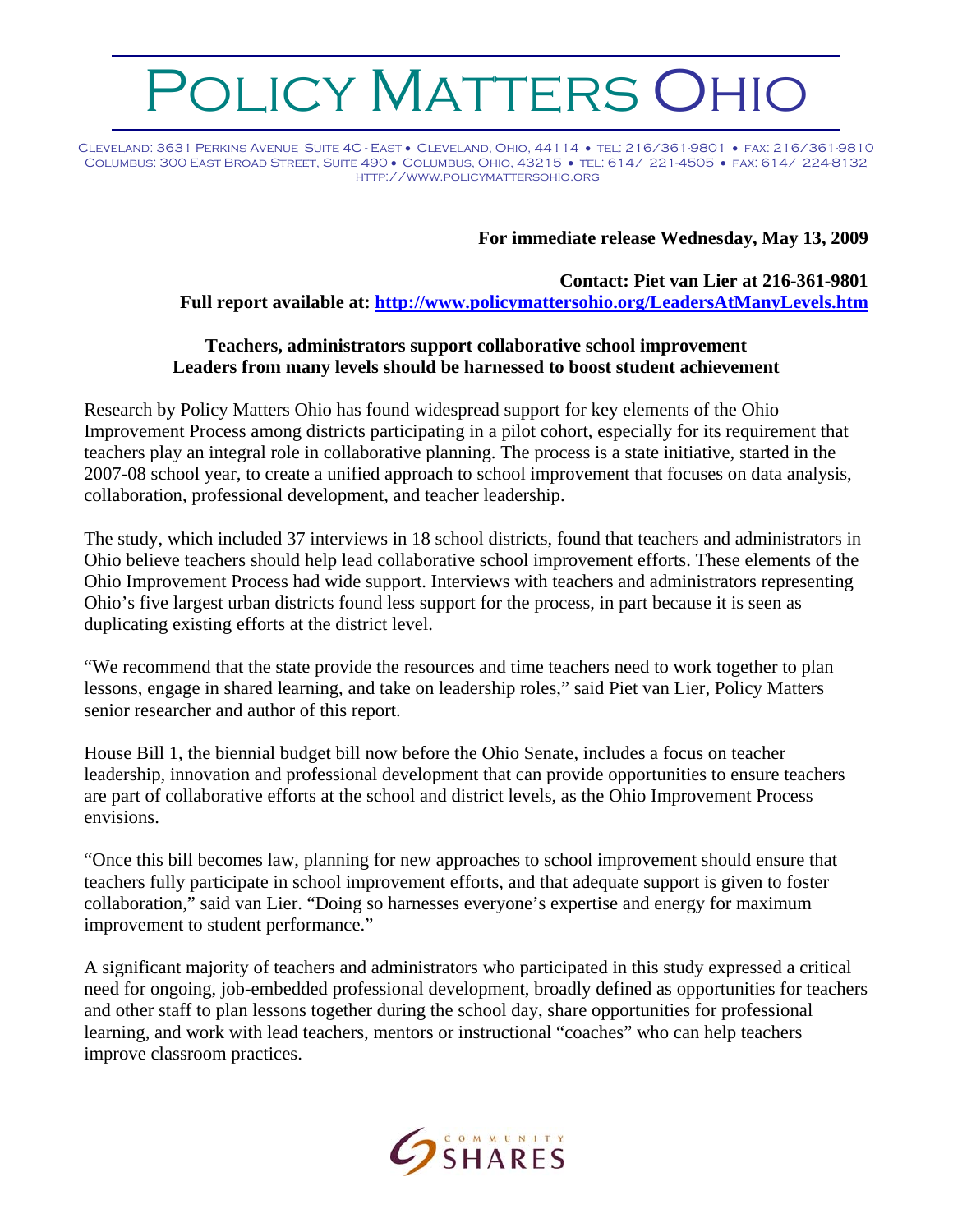## OLICY MATTERS OHIO

Cleveland: 3631 Perkins Avenue Suite 4C - East • Cleveland, Ohio, 44114 • tel: 216/361-9801 • fax: 216/361-9810 Columbus: 300 East Broad Street, Suite 490 • Columbus, Ohio, 43215 • tel: 614/ 221-4505 • fax: 614/ 224-8132 http://www.policymattersohio.org

## **For immediate release Wednesday, May 13, 2009**

**Contact: Piet van Lier at 216-361-9801 Full report available at:<http://www.policymattersohio.org/LeadersAtManyLevels.htm>**

## **Teachers, administrators support collaborative school improvement Leaders from many levels should be harnessed to boost student achievement**

Research by Policy Matters Ohio has found widespread support for key elements of the Ohio Improvement Process among districts participating in a pilot cohort, especially for its requirement that teachers play an integral role in collaborative planning. The process is a state initiative, started in the 2007-08 school year, to create a unified approach to school improvement that focuses on data analysis, collaboration, professional development, and teacher leadership.

The study, which included 37 interviews in 18 school districts, found that teachers and administrators in Ohio believe teachers should help lead collaborative school improvement efforts. These elements of the Ohio Improvement Process had wide support. Interviews with teachers and administrators representing Ohio's five largest urban districts found less support for the process, in part because it is seen as duplicating existing efforts at the district level.

"We recommend that the state provide the resources and time teachers need to work together to plan lessons, engage in shared learning, and take on leadership roles," said Piet van Lier, Policy Matters senior researcher and author of this report.

House Bill 1, the biennial budget bill now before the Ohio Senate, includes a focus on teacher leadership, innovation and professional development that can provide opportunities to ensure teachers are part of collaborative efforts at the school and district levels, as the Ohio Improvement Process envisions.

"Once this bill becomes law, planning for new approaches to school improvement should ensure that teachers fully participate in school improvement efforts, and that adequate support is given to foster collaboration," said van Lier. "Doing so harnesses everyone's expertise and energy for maximum improvement to student performance."

A significant majority of teachers and administrators who participated in this study expressed a critical need for ongoing, job-embedded professional development, broadly defined as opportunities for teachers and other staff to plan lessons together during the school day, share opportunities for professional learning, and work with lead teachers, mentors or instructional "coaches" who can help teachers improve classroom practices.